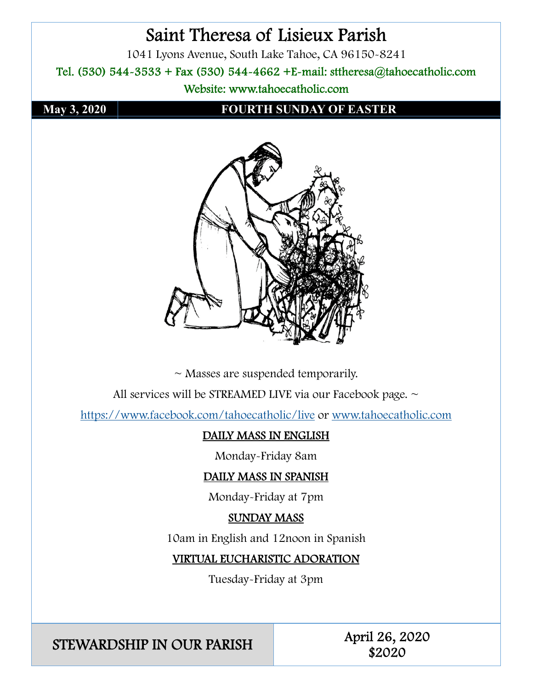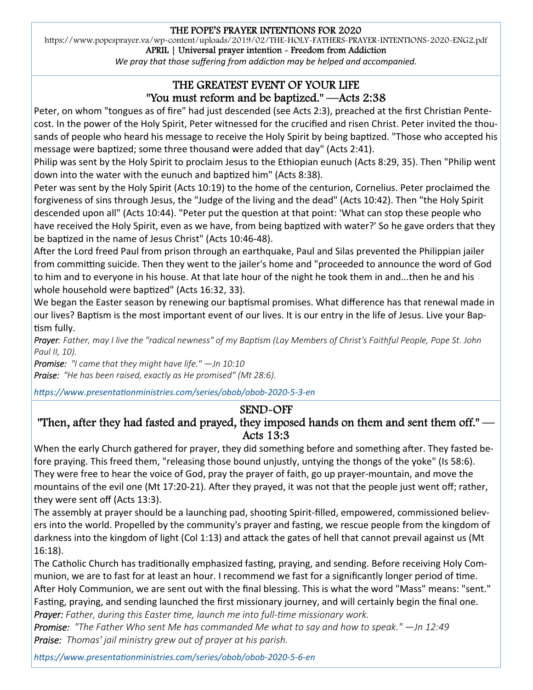#### THE POPE'S PRAYER INTENTIONS FOR 2020

https://www.popesprayer.va/wp-content/uploads/2019/02/THE-HOLY-FATHERS-PRAYER-INTENTIONS-2020-ENG2.pdf APRIL | Universal prayer intention - Freedom from Addiction

*We pray that those suffering from addiction may be helped and accompanied.* 

## THE GREATEST EVENT OF YOUR LIFE "You must reform and be baptized." —Acts 2:38

Peter, on whom "tongues as of fire" had just descended (see Acts 2:3), preached at the first Christian Pentecost. In the power of the Holy Spirit, Peter witnessed for the crucified and risen Christ. Peter invited the thousands of people who heard his message to receive the Holy Spirit by being baptized. "Those who accepted his message were baptized; some three thousand were added that day" (Acts 2:41).

Philip was sent by the Holy Spirit to proclaim Jesus to the Ethiopian eunuch (Acts 8:29, 35). Then "Philip went down into the water with the eunuch and baptized him" (Acts 8:38).

Peter was sent by the Holy Spirit (Acts 10:19) to the home of the centurion, Cornelius. Peter proclaimed the forgiveness of sins through Jesus, the "Judge of the living and the dead" (Acts 10:42). Then "the Holy Spirit descended upon all" (Acts 10:44). "Peter put the question at that point: 'What can stop these people who have received the Holy Spirit, even as we have, from being baptized with water?' So he gave orders that they be baptized in the name of Jesus Christ" (Acts 10:46-48).

After the Lord freed Paul from prison through an earthquake, Paul and Silas prevented the Philippian jailer from committing suicide. Then they went to the jailer's home and "proceeded to announce the word of God to him and to everyone in his house. At that late hour of the night he took them in and...then he and his whole household were baptized" (Acts 16:32, 33).

We began the Easter season by renewing our baptismal promises. What difference has that renewal made in our lives? Baptism is the most important event of our lives. It is our entry in the life of Jesus. Live your Baptism fully.

*Prayer: Father, may I live the "radical newness" of my Baptism (Lay Members of Christ's Faithful People, Pope St. John Paul II, 10).* 

*Promise: "I came that they might have life." —Jn 10:10 Praise: "He has been raised, exactly as He promised" (Mt 28:6).* 

*hƩps://www.presentaƟonministries.com/series/obob/obob‐2020‐5‐3‐en* 

## SEND-OFF

"Then, after they had fasted and prayed, they imposed hands on them and sent them off." -Acts 13:3

When the early Church gathered for prayer, they did something before and something after. They fasted before praying. This freed them, "releasing those bound unjustly, untying the thongs of the yoke" (Is 58:6). They were free to hear the voice of God, pray the prayer of faith, go up prayer-mountain, and move the mountains of the evil one (Mt 17:20-21). After they prayed, it was not that the people just went off; rather, they were sent off (Acts 13:3).

The assembly at prayer should be a launching pad, shooting Spirit-filled, empowered, commissioned believers into the world. Propelled by the community's prayer and fasting, we rescue people from the kingdom of darkness into the kingdom of light (Col 1:13) and attack the gates of hell that cannot prevail against us (Mt 16:18).

The Catholic Church has traditionally emphasized fasting, praying, and sending. Before receiving Holy Communion, we are to fast for at least an hour. I recommend we fast for a significantly longer period of time. After Holy Communion, we are sent out with the final blessing. This is what the word "Mass" means: "sent." Fasting, praying, and sending launched the first missionary journey, and will certainly begin the final one. *Prayer: Father, during this Easter time, launch me into full-time missionary work.* 

*Promise: "The Father Who sent Me has commanded Me what to say and how to speak." —Jn 12:49 Praise: Thomas' jail ministry grew out of prayer at his parish.* 

*hƩps://www.presentaƟonministries.com/series/obob/obob‐2020‐5‐6‐en*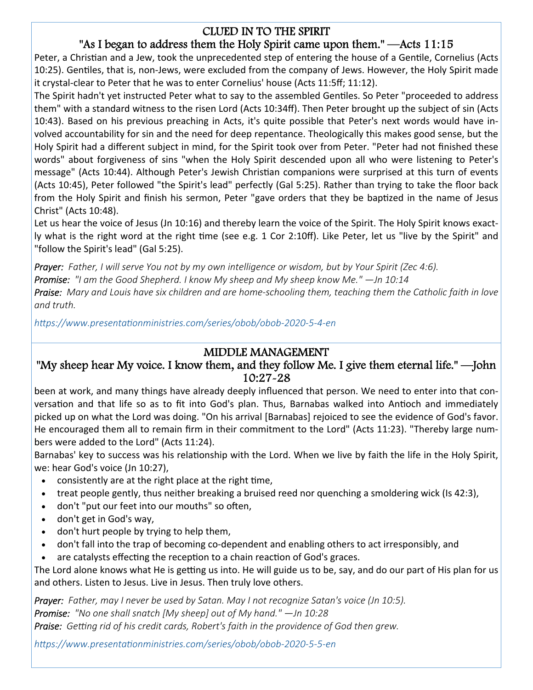## CLUED IN TO THE SPIRIT

## "As I began to address them the Holy Spirit came upon them." —Acts 11:15

Peter, a Christian and a Jew, took the unprecedented step of entering the house of a Gentile, Cornelius (Acts 10:25). GenƟles, that is, non-Jews, were excluded from the company of Jews. However, the Holy Spirit made it crystal-clear to Peter that he was to enter Cornelius' house (Acts 11:5ff; 11:12).

The Spirit hadn't yet instructed Peter what to say to the assembled Gentiles. So Peter "proceeded to address them" with a standard witness to the risen Lord (Acts 10:34ff). Then Peter brought up the subject of sin (Acts 10:43). Based on his previous preaching in Acts, it's quite possible that Peter's next words would have involved accountability for sin and the need for deep repentance. Theologically this makes good sense, but the Holy Spirit had a different subject in mind, for the Spirit took over from Peter. "Peter had not finished these words" about forgiveness of sins "when the Holy Spirit descended upon all who were listening to Peter's message" (Acts 10:44). Although Peter's Jewish Christian companions were surprised at this turn of events (Acts 10:45), Peter followed "the Spirit's lead" perfectly (Gal 5:25). Rather than trying to take the floor back from the Holy Spirit and finish his sermon, Peter "gave orders that they be baptized in the name of Jesus Christ" (Acts 10:48).

Let us hear the voice of Jesus (Jn 10:16) and thereby learn the voice of the Spirit. The Holy Spirit knows exactly what is the right word at the right time (see e.g. 1 Cor 2:10ff). Like Peter, let us "live by the Spirit" and "follow the Spirit's lead" (Gal 5:25).

*Prayer: Father, I will serve You not by my own intelligence or wisdom, but by Your Spirit (Zec 4:6). Promise: "I am the Good Shepherd. I know My sheep and My sheep know Me." —Jn 10:14 Praise: Mary and Louis have six children and are home‐schooling them, teaching them the Catholic faith in love and truth.* 

*hƩps://www.presentaƟonministries.com/series/obob/obob‐2020‐5‐4‐en* 

## MIDDLE MANAGEMENT

## "My sheep hear My voice. I know them, and they follow Me. I give them eternal life." —John 10:27-28

been at work, and many things have already deeply influenced that person. We need to enter into that conversation and that life so as to fit into God's plan. Thus, Barnabas walked into Antioch and immediately picked up on what the Lord was doing. "On his arrival [Barnabas] rejoiced to see the evidence of God's favor. He encouraged them all to remain firm in their commitment to the Lord" (Acts 11:23). "Thereby large numbers were added to the Lord" (Acts 11:24).

Barnabas' key to success was his relationship with the Lord. When we live by faith the life in the Holy Spirit, we: hear God's voice (Jn 10:27),

- consistently are at the right place at the right time,
- treat people gently, thus neither breaking a bruised reed nor quenching a smoldering wick (Is 42:3),
- don't "put our feet into our mouths" so often,
- don't get in God's way,
- don't hurt people by trying to help them,
- don't fall into the trap of becoming co-dependent and enabling others to act irresponsibly, and
- are catalysts effecting the reception to a chain reaction of God's graces.

The Lord alone knows what He is getting us into. He will guide us to be, say, and do our part of His plan for us and others. Listen to Jesus. Live in Jesus. Then truly love others.

*Prayer: Father, may I never be used by Satan. May I not recognize Satan's voice (Jn 10:5). Promise: "No one shall snatch [My sheep] out of My hand." —Jn 10:28*  **Praise:** Getting rid of his credit cards, Robert's faith in the providence of God then grew.

*hƩps://www.presentaƟonministries.com/series/obob/obob‐2020‐5‐5‐en*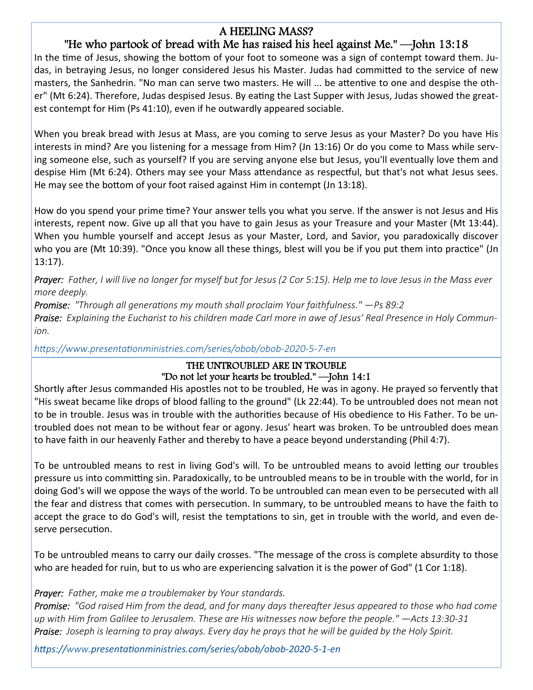## A HEELING MASS?

# "He who partook of bread with Me has raised his heel against Me." —John 13:18

In the time of Jesus, showing the bottom of your foot to someone was a sign of contempt toward them. Judas, in betraying Jesus, no longer considered Jesus his Master. Judas had committed to the service of new masters, the Sanhedrin. "No man can serve two masters. He will ... be attentive to one and despise the other" (Mt 6:24). Therefore, Judas despised Jesus. By eating the Last Supper with Jesus, Judas showed the greatest contempt for Him (Ps 41:10), even if he outwardly appeared sociable.

When you break bread with Jesus at Mass, are you coming to serve Jesus as your Master? Do you have His interests in mind? Are you listening for a message from Him? (Jn 13:16) Or do you come to Mass while serving someone else, such as yourself? If you are serving anyone else but Jesus, you'll eventually love them and despise Him (Mt 6:24). Others may see your Mass attendance as respectful, but that's not what Jesus sees. He may see the bottom of your foot raised against Him in contempt (Jn 13:18).

How do you spend your prime time? Your answer tells you what you serve. If the answer is not Jesus and His interests, repent now. Give up all that you have to gain Jesus as your Treasure and your Master (Mt 13:44). When you humble yourself and accept Jesus as your Master, Lord, and Savior, you paradoxically discover who you are (Mt 10:39). "Once you know all these things, blest will you be if you put them into practice" (Jn 13:17).

*Prayer: Father, I will live no longer for myself but for Jesus (2 Cor 5:15). Help me to love Jesus in the Mass ever more deeply.* 

*Promise: "Through all generations my mouth shall proclaim Your faithfulness." —Ps 89:2 Praise: Explaining the Eucharist to his children made Carl more in awe of Jesus' Real Presence in Holy Commun‐ ion.* 

*hƩps://www.presentaƟonministries.com/series/obob/obob‐2020‐5‐7‐en* 

#### THE UNTROUBLED ARE IN TROUBLE "Do not let your hearts be troubled." —John 14:1

Shortly after Jesus commanded His apostles not to be troubled, He was in agony. He prayed so fervently that "His sweat became like drops of blood falling to the ground" (Lk 22:44). To be untroubled does not mean not to be in trouble. Jesus was in trouble with the authorities because of His obedience to His Father. To be untroubled does not mean to be without fear or agony. Jesus' heart was broken. To be untroubled does mean to have faith in our heavenly Father and thereby to have a peace beyond understanding (Phil 4:7).

To be untroubled means to rest in living God's will. To be untroubled means to avoid letting our troubles pressure us into committing sin. Paradoxically, to be untroubled means to be in trouble with the world, for in doing God's will we oppose the ways of the world. To be untroubled can mean even to be persecuted with all the fear and distress that comes with persecution. In summary, to be untroubled means to have the faith to accept the grace to do God's will, resist the temptations to sin, get in trouble with the world, and even deserve persecution.

To be untroubled means to carry our daily crosses. "The message of the cross is complete absurdity to those who are headed for ruin, but to us who are experiencing salvation it is the power of God" (1 Cor 1:18).

#### *Prayer: Father, make me a troublemaker by Your standards.*

*Promise: "God raised Him from the dead, and for many days thereafter Jesus appeared to those who had come up with Him from Galilee to Jerusalem. These are His witnesses now before the people." —Acts 13:30‐31 Praise: Joseph is learning to pray always. Every day he prays that he will be guided by the Holy Spirit.* 

*hƩps://www.presentaƟonministries.com/series/obob/obob‐2020‐5‐1‐en*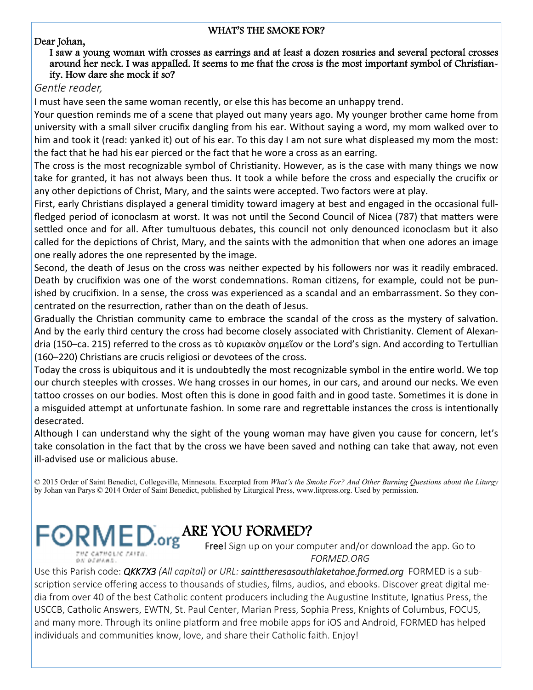#### WHAT'S THE SMOKE FOR?

#### Dear Johan,

#### I saw a young woman with crosses as earrings and at least a dozen rosaries and several pectoral crosses around her neck. I was appalled. It seems to me that the cross is the most important symbol of Christianity. How dare she mock it so?

#### *Gentle reader,*

I must have seen the same woman recently, or else this has become an unhappy trend.

Your question reminds me of a scene that played out many years ago. My younger brother came home from university with a small silver crucifix dangling from his ear. Without saying a word, my mom walked over to him and took it (read: yanked it) out of his ear. To this day I am not sure what displeased my mom the most: the fact that he had his ear pierced or the fact that he wore a cross as an earring.

The cross is the most recognizable symbol of Christianity. However, as is the case with many things we now take for granted, it has not always been thus. It took a while before the cross and especially the crucifix or any other depictions of Christ, Mary, and the saints were accepted. Two factors were at play.

First, early Christians displayed a general timidity toward imagery at best and engaged in the occasional fullfledged period of iconoclasm at worst. It was not until the Second Council of Nicea (787) that matters were settled once and for all. After tumultuous debates, this council not only denounced iconoclasm but it also called for the depictions of Christ, Mary, and the saints with the admonition that when one adores an image one really adores the one represented by the image.

Second, the death of Jesus on the cross was neither expected by his followers nor was it readily embraced. Death by crucifixion was one of the worst condemnations. Roman citizens, for example, could not be punished by crucifixion. In a sense, the cross was experienced as a scandal and an embarrassment. So they concentrated on the resurrection, rather than on the death of Jesus.

Gradually the Christian community came to embrace the scandal of the cross as the mystery of salvation. And by the early third century the cross had become closely associated with Christianity. Clement of Alexandria (150–ca. 215) referred to the cross as τὸ κυριακὸν σημεῖον or the Lord's sign. And according to Tertullian (160–220) Christians are crucis religiosi or devotees of the cross.

Today the cross is ubiquitous and it is undoubtedly the most recognizable symbol in the entire world. We top our church steeples with crosses. We hang crosses in our homes, in our cars, and around our necks. We even tattoo crosses on our bodies. Most often this is done in good faith and in good taste. Sometimes it is done in a misguided attempt at unfortunate fashion. In some rare and regrettable instances the cross is intentionally desecrated.

Although I can understand why the sight of the young woman may have given you cause for concern, let's take consolation in the fact that by the cross we have been saved and nothing can take that away, not even ill-advised use or malicious abuse.

© 2015 Order of Saint Benedict, Collegeville, Minnesota. Excerpted from *What's the Smoke For? And Other Burning Questions about the Liturgy* by Johan van Parys © 2014 Order of Saint Benedict, published by Liturgical Press, www.litpress.org. Used by permission.

# ARE YOU FORMED?

THE CATHOLIC FAITH ON OIMARD.

Free! Sign up on your computer and/or download the app. Go to *FORMED.ORG* 

Use this Parish code: *QKK7X3 (All capital) or URL: sainttheresasouthlaketahoe.formed.org FORMED is a sub*scription service offering access to thousands of studies, films, audios, and ebooks. Discover great digital media from over 40 of the best Catholic content producers including the Augustine Institute, Ignatius Press, the USCCB, Catholic Answers, EWTN, St. Paul Center, Marian Press, Sophia Press, Knights of Columbus, FOCUS, and many more. Through its online platform and free mobile apps for iOS and Android, FORMED has helped individuals and communities know, love, and share their Catholic faith. Enjoy!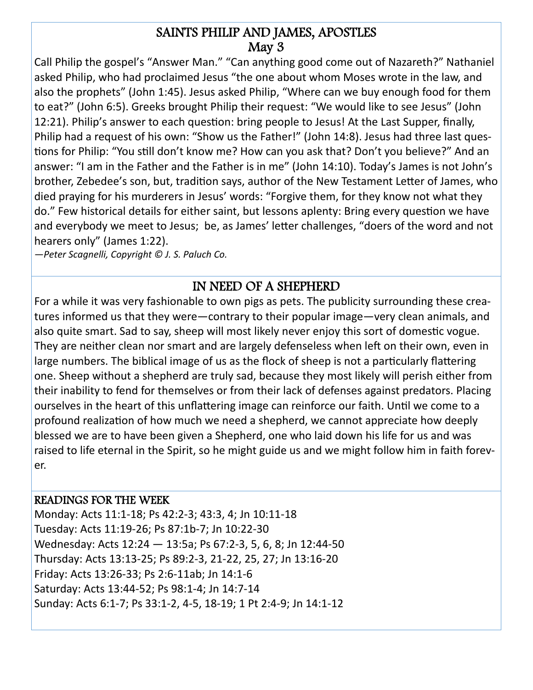# SAINTS PHILIP AND JAMES, APOSTLES May 3

Call Philip the gospel's "Answer Man." "Can anything good come out of Nazareth?" Nathaniel asked Philip, who had proclaimed Jesus "the one about whom Moses wrote in the law, and also the prophets" (John 1:45). Jesus asked Philip, "Where can we buy enough food for them to eat?" (John 6:5). Greeks brought Philip their request: "We would like to see Jesus" (John 12:21). Philip's answer to each question: bring people to Jesus! At the Last Supper, finally, Philip had a request of his own: "Show us the Father!" (John 14:8). Jesus had three last questions for Philip: "You still don't know me? How can you ask that? Don't you believe?" And an answer: "I am in the Father and the Father is in me" (John 14:10). Today's James is not John's brother, Zebedee's son, but, tradition says, author of the New Testament Letter of James, who died praying for his murderers in Jesus' words: "Forgive them, for they know not what they do." Few historical details for either saint, but lessons aplenty: Bring every question we have and everybody we meet to Jesus; be, as James' letter challenges, "doers of the word and not hearers only" (James 1:22).

*—Peter Scagnelli, Copyright © J. S. Paluch Co.* 

# IN NEED OF A SHEPHERD

For a while it was very fashionable to own pigs as pets. The publicity surrounding these creatures informed us that they were—contrary to their popular image—very clean animals, and also quite smart. Sad to say, sheep will most likely never enjoy this sort of domestic vogue. They are neither clean nor smart and are largely defenseless when left on their own, even in large numbers. The biblical image of us as the flock of sheep is not a particularly flattering one. Sheep without a shepherd are truly sad, because they most likely will perish either from their inability to fend for themselves or from their lack of defenses against predators. Placing ourselves in the heart of this unflattering image can reinforce our faith. Until we come to a profound realization of how much we need a shepherd, we cannot appreciate how deeply blessed we are to have been given a Shepherd, one who laid down his life for us and was raised to life eternal in the Spirit, so he might guide us and we might follow him in faith forever.

## READINGS FOR THE WEEK

Monday: Acts 11:1-18; Ps 42:2-3; 43:3, 4; Jn 10:11-18 Tuesday: Acts 11:19-26; Ps 87:1b-7; Jn 10:22-30 Wednesday: Acts 12:24 — 13:5a; Ps 67:2-3, 5, 6, 8; Jn 12:44-50 Thursday: Acts 13:13-25; Ps 89:2-3, 21-22, 25, 27; Jn 13:16-20 Friday: Acts 13:26-33; Ps 2:6-11ab; Jn 14:1-6 Saturday: Acts 13:44-52; Ps 98:1-4; Jn 14:7-14 Sunday: Acts 6:1-7; Ps 33:1-2, 4-5, 18-19; 1 Pt 2:4-9; Jn 14:1-12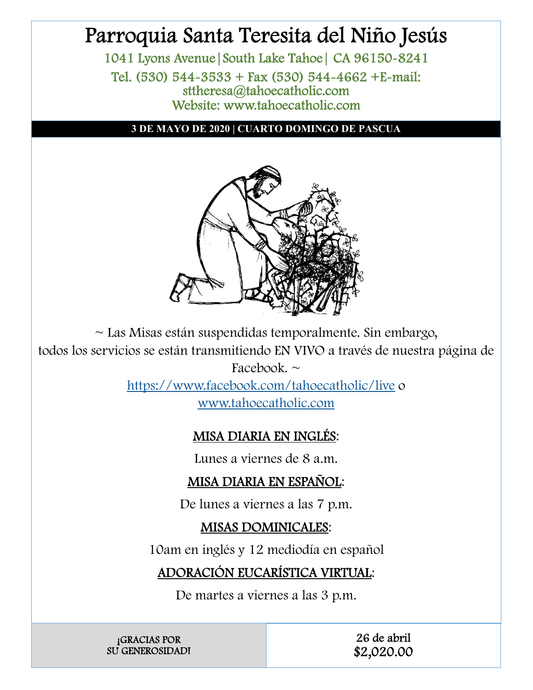# Parroquia Santa Teresita del Niño Jesús

1041 Lyons Avenue|South Lake Tahoe| CA 96150-8241 Tel. (530) 544-3533 + Fax (530) 544-4662 +E-mail: sttheresa@tahoecatholic.com Website: www.tahoecatholic.com

**3 DE MAYO DE 2020 | CUARTO DOMINGO DE PASCUA** 



~ Las Misas están suspendidas temporalmente. Sin embargo, todos los servicios se están transmitiendo EN VIVO a través de nuestra página de

> Facebook.  $\sim$ https://www.facebook.com/tahoecatholic/live o www.tahoecatholic.com

# MISA DIARIA EN INGLÉS:

Lunes a viernes de 8 a.m.

# MISA DIARIA EN ESPAÑOL:

De lunes a viernes a las 7 p.m.

# MISAS DOMINICALES:

10am en inglés y 12 mediodía en español

# ADORACIÓN EUCARÍSTICA VIRTUAL:

De martes a viernes a las 3 p.m.

¡GRACIAS POR SU GENEROSIDAD!

26 de abril \$2,020.00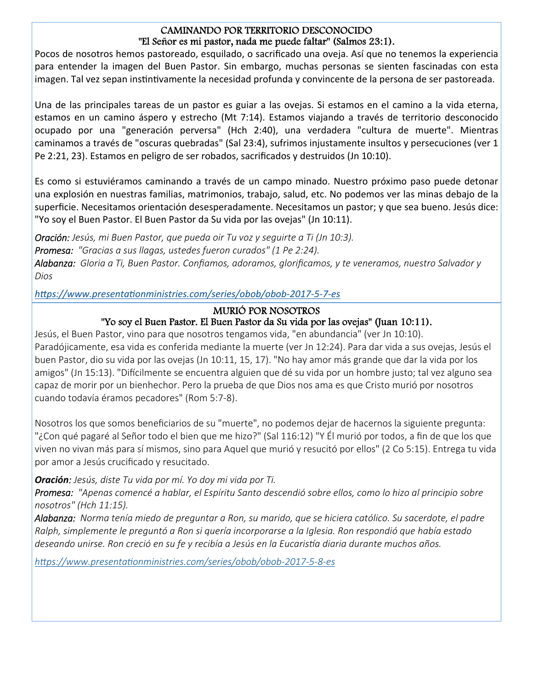#### CAMINANDO POR TERRITORIO DESCONOCIDO "El Señor es mi pastor, nada me puede faltar" (Salmos 23:1).

Pocos de nosotros hemos pastoreado, esquilado, o sacrificado una oveja. Así que no tenemos la experiencia para entender la imagen del Buen Pastor. Sin embargo, muchas personas se sienten fascinadas con esta imagen. Tal vez sepan instintivamente la necesidad profunda y convincente de la persona de ser pastoreada.

Una de las principales tareas de un pastor es guiar a las ovejas. Si estamos en el camino a la vida eterna, estamos en un camino áspero y estrecho (Mt 7:14). Estamos viajando a través de territorio desconocido ocupado por una "generación perversa" (Hch 2:40), una verdadera "cultura de muerte". Mientras caminamos a través de "oscuras quebradas" (Sal 23:4), sufrimos injustamente insultos y persecuciones (ver 1 Pe 2:21, 23). Estamos en peligro de ser robados, sacrificados y destruidos (Jn 10:10).

Es como si estuviéramos caminando a través de un campo minado. Nuestro próximo paso puede detonar una explosión en nuestras familias, matrimonios, trabajo, salud, etc. No podemos ver las minas debajo de la superficie. Necesitamos orientación desesperadamente. Necesitamos un pastor; y que sea bueno. Jesús dice: "Yo soy el Buen Pastor. El Buen Pastor da Su vida por las ovejas" (Jn 10:11).

*Oración: Jesús, mi Buen Pastor, que pueda oir Tu voz y seguirte a Ti (Jn 10:3). Promesa: "Gracias a sus llagas, ustedes fueron curados" (1 Pe 2:24). Alabanza: Gloria a Ti, Buen Pastor. Confiamos, adoramos, glorificamos, y te veneramos, nuestro Salvador y Dios* 

*hƩps://www.presentaƟonministries.com/series/obob/obob‐2017‐5‐7‐es* 

#### MURIÓ POR NOSOTROS

## "Yo soy el Buen Pastor. El Buen Pastor da Su vida por las ovejas" (Juan 10:11).

Jesús, el Buen Pastor, vino para que nosotros tengamos vida, "en abundancia" (ver Jn 10:10). Paradójicamente, esa vida es conferida mediante la muerte (ver Jn 12:24). Para dar vida a sus ovejas, Jesús el buen Pastor, dio su vida por las ovejas (Jn 10:11, 15, 17). "No hay amor más grande que dar la vida por los amigos" (Jn 15:13). "Diİcilmente se encuentra alguien que dé su vida por un hombre justo; tal vez alguno sea capaz de morir por un bienhechor. Pero la prueba de que Dios nos ama es que Cristo murió por nosotros cuando todavía éramos pecadores" (Rom 5:7-8).

Nosotros los que somos beneficiarios de su "muerte", no podemos dejar de hacernos la siguiente pregunta: "¿Con qué pagaré al Señor todo el bien que me hizo?" (Sal 116:12) "Y Él murió por todos, a fin de que los que viven no vivan más para sí mismos, sino para Aquel que murió y resucitó por ellos" (2 Co 5:15). Entrega tu vida por amor a Jesús crucificado y resucitado.

*Oración: Jesús, diste Tu vida por mí. Yo doy mi vida por Ti.* 

*Promesa: "Apenas comencé a hablar, el Espíritu Santo descendió sobre ellos, como lo hizo al principio sobre nosotros" (Hch 11:15).* 

*Alabanza: Norma tenía miedo de preguntar a Ron, su marido, que se hiciera católico. Su sacerdote, el padre Ralph, simplemente le preguntó a Ron si quería incorporarse a la Iglesia. Ron respondió que había estado deseando unirse. Ron creció en su fe y recibía a Jesús en la Eucarisơa diaria durante muchos años.* 

*hƩps://www.presentaƟonministries.com/series/obob/obob‐2017‐5‐8‐es*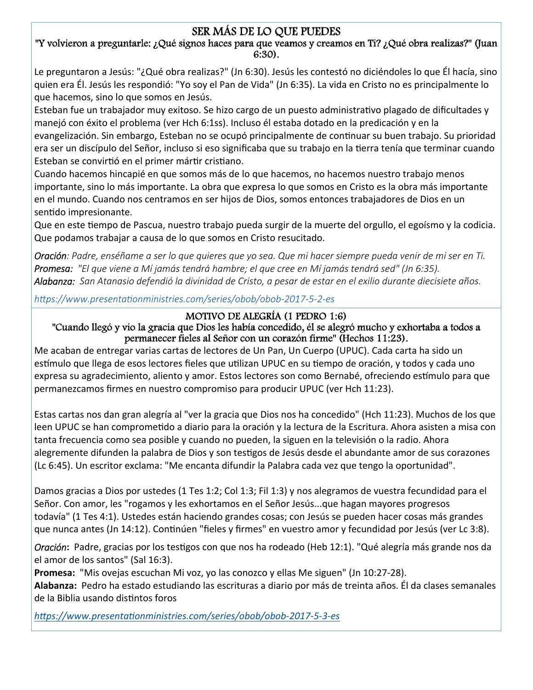## SER MÁS DE LO QUE PUEDES

#### "Y volvieron a preguntarle: ¿Qué signos haces para que veamos y creamos en Ti? ¿Qué obra realizas?" (Juan 6:30).

Le preguntaron a Jesús: "¿Qué obra realizas?" (Jn 6:30). Jesús les contestó no diciéndoles lo que Él hacía, sino quien era Él. Jesús les respondió: "Yo soy el Pan de Vida" (Jn 6:35). La vida en Cristo no es principalmente lo que hacemos, sino lo que somos en Jesús.

Esteban fue un trabajador muy exitoso. Se hizo cargo de un puesto administrativo plagado de dificultades y manejó con éxito el problema (ver Hch 6:1ss). Incluso él estaba dotado en la predicación y en la

evangelización. Sin embargo, Esteban no se ocupó principalmente de continuar su buen trabajo. Su prioridad era ser un discípulo del Señor, incluso si eso significaba que su trabajo en la tierra tenía que terminar cuando Esteban se convirtió en el primer mártir cristiano.

Cuando hacemos hincapié en que somos más de lo que hacemos, no hacemos nuestro trabajo menos importante, sino lo más importante. La obra que expresa lo que somos en Cristo es la obra más importante en el mundo. Cuando nos centramos en ser hijos de Dios, somos entonces trabajadores de Dios en un sentido impresionante.

Que en este tiempo de Pascua, nuestro trabajo pueda surgir de la muerte del orgullo, el egoísmo y la codicia. Que podamos trabajar a causa de lo que somos en Cristo resucitado.

*Oración: Padre, enséñame a ser lo que quieres que yo sea. Que mi hacer siempre pueda venir de mi ser en Ti. Promesa: "El que viene a Mí jamás tendrá hambre; el que cree en Mí jamás tendrá sed" (Jn 6:35). Alabanza: San Atanasio defendió la divinidad de Cristo, a pesar de estar en el exilio durante diecisiete años.* 

*hƩps://www.presentaƟonministries.com/series/obob/obob‐2017‐5‐2‐es* 

#### MOTIVO DE ALEGRÍA (1 PEDRO 1:6)

#### "Cuando llegó y vio la gracia que Dios les había concedido, él se alegró mucho y exhortaba a todos a permanecer fieles al Señor con un corazón firme" (Hechos 11:23).

Me acaban de entregar varias cartas de lectores de Un Pan, Un Cuerpo (UPUC). Cada carta ha sido un estímulo que llega de esos lectores fieles que utilizan UPUC en su tiempo de oración, y todos y cada uno expresa su agradecimiento, aliento y amor. Estos lectores son como Bernabé, ofreciendo estímulo para que permanezcamos firmes en nuestro compromiso para producir UPUC (ver Hch 11:23).

Estas cartas nos dan gran alegría al "ver la gracia que Dios nos ha concedido" (Hch 11:23). Muchos de los que leen UPUC se han comprometido a diario para la oración y la lectura de la Escritura. Ahora asisten a misa con tanta frecuencia como sea posible y cuando no pueden, la siguen en la televisión o la radio. Ahora alegremente difunden la palabra de Dios y son testigos de Jesús desde el abundante amor de sus corazones (Lc 6:45). Un escritor exclama: "Me encanta difundir la Palabra cada vez que tengo la oportunidad".

Damos gracias a Dios por ustedes (1 Tes 1:2; Col 1:3; Fil 1:3) y nos alegramos de vuestra fecundidad para el Señor. Con amor, les "rogamos y les exhortamos en el Señor Jesús...que hagan mayores progresos todavía" (1 Tes 4:1). Ustedes están haciendo grandes cosas; con Jesús se pueden hacer cosas más grandes que nunca antes (Jn 14:12). Continúen "fieles y firmes" en vuestro amor y fecundidad por Jesús (ver Lc 3:8).

*Oración*: Padre, gracias por los testigos con que nos ha rodeado (Heb 12:1). "Qué alegría más grande nos da el amor de los santos" (Sal 16:3).

**Promesa:** "Mis ovejas escuchan Mi voz, yo las conozco y ellas Me siguen" (Jn 10:27-28).

**Alabanza:** Pedro ha estado estudiando las escrituras a diario por más de treinta años. Él da clases semanales de la Biblia usando distintos foros

*hƩps://www.presentaƟonministries.com/series/obob/obob‐2017‐5‐3‐es*